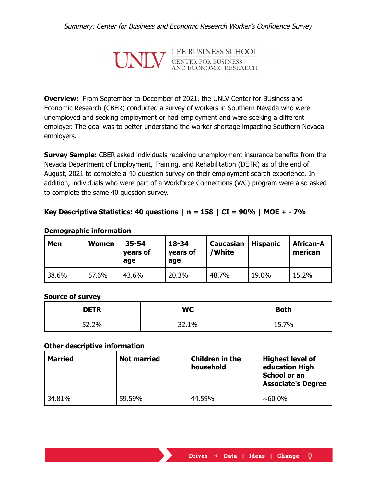

**Overview:** From September to December of 2021, the UNLV Center for BUsiness and Economic Research (CBER) conducted a survey of workers in Southern Nevada who were unemployed and seeking employment or had employment and were seeking a different employer. The goal was to better understand the worker shortage impacting Southern Nevada employers.

**Survey Sample:** CBER asked individuals receiving unemployment insurance benefits from the Nevada Department of Employment, Training, and Rehabilitation (DETR) as of the end of August, 2021 to complete a 40 question survey on their employment search experience. In addition, individuals who were part of a Workforce Connections (WC) program were also asked to complete the same 40 question survey.

## **Key Descriptive Statistics: 40 questions | n = 158 | CI = 90% | MOE + - 7%**

| Men   | <b>Women</b> | $35 - 54$<br>years of<br>age | $18 - 34$<br>years of<br>age | <b>Caucasian</b><br>'White | <b>Hispanic</b> | <b>African-A</b><br>merican |
|-------|--------------|------------------------------|------------------------------|----------------------------|-----------------|-----------------------------|
| 38.6% | 57.6%        | 43.6%                        | 20.3%                        | 48.7%                      | 19.0%           | 15.2%                       |

#### **Demographic information**

### **Source of survey**

| <b>DETR</b> | <b>WC</b> | <b>Both</b> |
|-------------|-----------|-------------|
| 52.2%       | 32.1%     | 15.7%       |

### **Other descriptive information**

| <b>Married</b> | <b>Not married</b> | Children in the<br>household | <b>Highest level of</b><br>education High<br>School or an<br><b>Associate's Degree</b> |
|----------------|--------------------|------------------------------|----------------------------------------------------------------------------------------|
| 34.81%         | 59.59%             | 44.59%                       | $~0.0\%$                                                                               |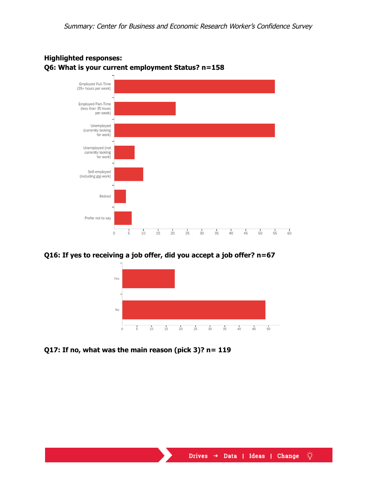

## **Highlighted responses: Q6: What is your current employment Status? n=158**

### **Q16: If yes to receiving a job offer, did you accept a job offer? n=67**



**Q17: If no, what was the main reason (pick 3)? n= 119**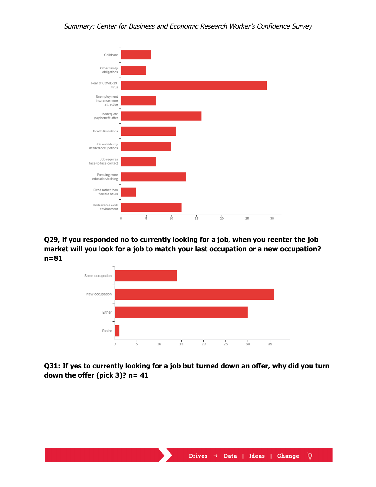

**Q29, if you responded no to currently looking for a job, when you reenter the job market will you look for a job to match your last occupation or a new occupation? n=81**



# **Q31: If yes to currently looking for a job but turned down an offer, why did you turn down the offer (pick 3)? n= 41**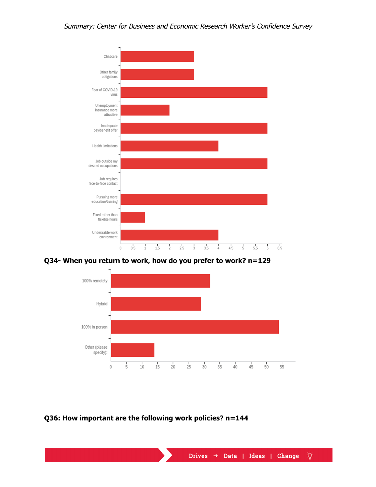

**Q34- When you return to work, how do you prefer to work? n=129**



**Q36: How important are the following work policies? n=144**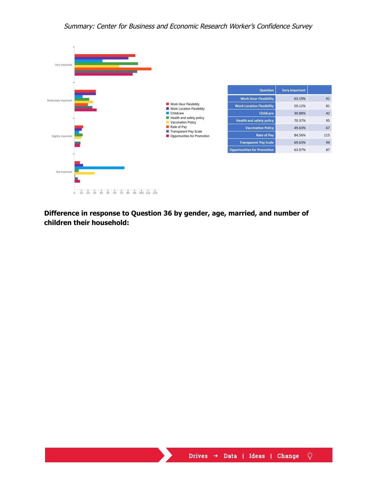

**Difference in response to Question 36 by gender, age, married, and number of children their household:**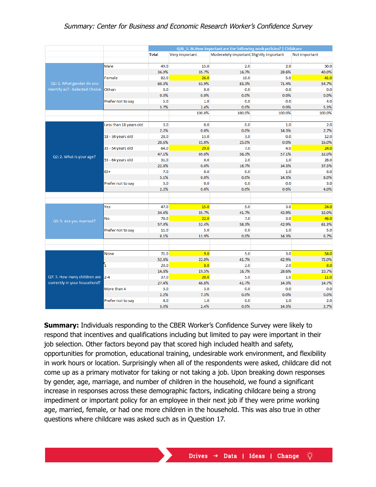|                                |                        | Q36_3: 36. How important are the following work policies?   Childcare |                |                                         |              |               |
|--------------------------------|------------------------|-----------------------------------------------------------------------|----------------|-----------------------------------------|--------------|---------------|
|                                |                        | <b>Total</b>                                                          | Very important | Moderately important Slightly important |              | Not important |
|                                |                        |                                                                       |                |                                         |              |               |
|                                | Male                   | 49.0                                                                  | 15.0           | 2.0                                     | 2.0          | 30.0          |
|                                |                        | 36.0%                                                                 | 35.7%          | 16.7%                                   | 28.6%        | 40.0%         |
|                                | Female                 | 82.0                                                                  | 26.0           | 10.0                                    | 5.0          | 41.0          |
| Q1: 1. What gender do you      |                        | 60.3%                                                                 | 61.9%          | 83.3%                                   | 71.4%        | 54.7%         |
| identify as? - Selected Choice | Other:                 | 0.0                                                                   | 0.0            | 0.0                                     | 0.0          | 0.0           |
|                                |                        | 0.0%                                                                  | 0.0%           | 0.0%                                    | 0.0%         | 0.0%          |
|                                | Prefer not to say      | 5.0                                                                   | 1.0            | 0.0                                     | 0.0          | 4.0           |
|                                |                        | 3.7%                                                                  | 2.4%           | 0.0%                                    | 0.0%         | 5.3%          |
|                                |                        |                                                                       | 100.0%         | 100.0%                                  | 100.0%       | 100.0%        |
|                                |                        |                                                                       |                |                                         |              |               |
|                                | Less than 18 years old | 3.0                                                                   | 0.0            | 0.0                                     | 1.0          | 2.0           |
|                                |                        | 2.2%                                                                  | 0.0%           | 0.0%                                    | 14.3%        | 2.7%          |
|                                | 18 - 34 years old      | 28.0                                                                  | 13.0           | 3.0                                     | 0.0          | 12.0          |
|                                |                        | 20.6%                                                                 | 31.0%          | 25.0%                                   | 0.0%         | 16.0%         |
|                                | 35 - 54 years old      | 64.0                                                                  | 29.0           | 7.0                                     | 4.0          | 24.0          |
| Q2: 2. What is your age?       |                        | 47.1%                                                                 | 69.0%          | 58.3%                                   | 57.1%        | 32.0%         |
|                                | 55 - 64 years old      | 31.0                                                                  | 0.0            | 2.0                                     | 1.0          | 28.0          |
|                                |                        | 22.8%                                                                 | 0.0%           | 16.7%                                   | 14.3%        | 37.3%         |
|                                | $65+$                  | 7.0                                                                   | 0.0            | 0.0                                     | 1.0          | 6.0           |
|                                |                        | 5.1%                                                                  | 0.0%           | 0.0%                                    | 14.3%        | 8.0%          |
|                                | Prefer not to say      | 3.0                                                                   | 0.0            | 0.0                                     | 0.0          | 3.0           |
|                                |                        | 2.2%                                                                  | 0.0%           | 0.0%                                    | 0.0%         | 4.0%          |
|                                |                        |                                                                       |                |                                         |              |               |
|                                |                        |                                                                       |                |                                         |              |               |
|                                | Yes                    | 47.0<br>34.6%                                                         | 15.0           | 5.0<br>41.7%                            | 3.0<br>42.9% | 24.0<br>32.0% |
|                                |                        |                                                                       | 35.7%<br>22.0  |                                         |              |               |
| Q5: 5. Are you married?        | No                     | 78.0<br>57.4%                                                         | 52.4%          | 7.0<br>58.3%                            | 3.0<br>42.9% | 46.0          |
|                                | Prefer not to say      | 11.0                                                                  | 5.0            | 0.0                                     | 1.0          | 61.3%<br>5.0  |
|                                |                        | 8.1%                                                                  | 11.9%          | 0.0%                                    | 14.3%        | 6.7%          |
|                                |                        |                                                                       |                |                                         |              |               |
|                                |                        |                                                                       |                |                                         |              |               |
|                                | <b>None</b>            | 71.0                                                                  | 9.0            | 5.0                                     | 3.0          | 54.0          |
|                                |                        | 52.6%                                                                 | 22.0%          | 41.7%                                   | 42.9%        | 72.0%         |
|                                | 1                      | 20.0                                                                  | 8.0            | 2.0                                     | 2.0          | 8.0           |
|                                |                        | 14.8%                                                                 | 19.5%          | 16.7%                                   | 28.6%        | 10.7%         |
| Q7: 7. How many children are   | $2 - 4$                | 37.0                                                                  | 20.0           | 5.0                                     | 1.0          | 11.0          |
| currently in your household?   |                        | 27.4%                                                                 | 48.8%          | 41.7%                                   | 14.3%        | 14.7%         |
|                                | More than 4            | 3.0                                                                   | 3.0            | 0.0                                     | 0.0          | 0.0           |
|                                |                        | 2.2%                                                                  | 7.3%           | 0.0%                                    | 0.0%         | 0.0%          |
|                                | Prefer not to say      | 4.0                                                                   | 1.0            | 0.0                                     | 1.0          | 2.0           |
|                                |                        | 3.0%                                                                  | 2.4%           | 0.0%                                    | 14.3%        | 2.7%          |

**Summary:** Individuals responding to the CBER Worker's Confidence Survey were likely to respond that incentives and qualifications including but limited to pay were important in their job selection. Other factors beyond pay that scored high included health and safety, opportunities for promotion, educational training, undesirable work environment, and flexibility in work hours or location. Surprisingly when all of the respondents were asked, childcare did not come up as a primary motivator for taking or not taking a job. Upon breaking down responses by gender, age, marriage, and number of children in the household, we found a significant increase in responses across these demographic factors, indicating childcare being a strong impediment or important policy for an employee in their next job if they were prime working age, married, female, or had one more children in the household. This was also true in other questions where childcare was asked such as in Question 17.